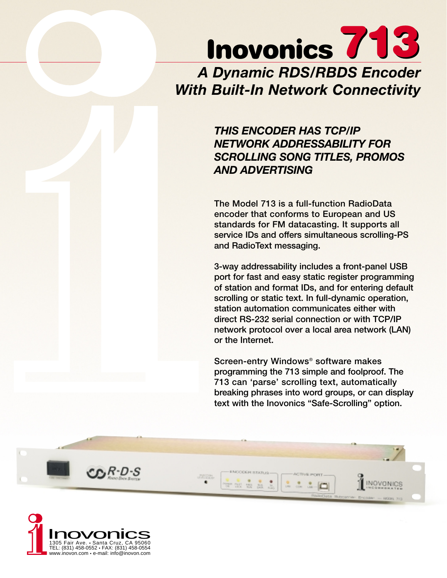# **Inovonics 713** *A Dynamic RDS/RBDS Encoder With Built-In Network Connectivity*

# *THIS ENCODER HAS TCP/IP NETWORK ADDRESSABILITY FOR SCROLLING SONG TITLES, PROMOS AND ADVERTISING*

**The Model 713 is a full-function RadioData encoder that conforms to European and US standards for FM datacasting. It supports all service IDs and offers simultaneous scrolling-PS and RadioText messaging.**

**3-way addressability includes a front-panel USB port for fast and easy static register programming of station and format IDs, and for entering default scrolling or static text. In full-dynamic operation, station automation communicates either with direct RS-232 serial connection or with TCP/IP network protocol over a local area network (LAN) or the Internet.**

**Screen-entry Windows**® **software makes programming the 713 simple and foolproof. The 713 can 'parse' scrolling text, automatically breaking phrases into word groups, or can display text with the Inovonics "Safe-Scrolling" option.**